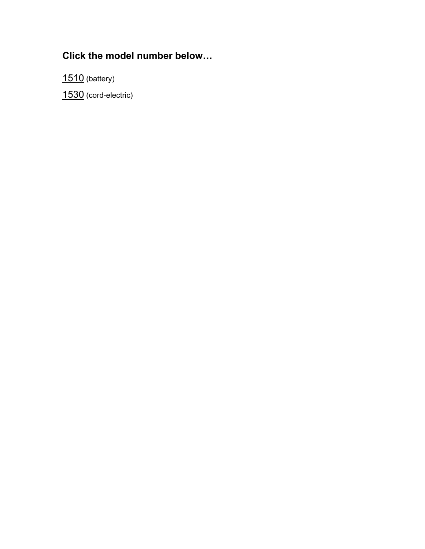### **Click the model number below…**

[1510 \(](#page-1-0)battery)

[1530 \(](#page-2-0)cord-electric)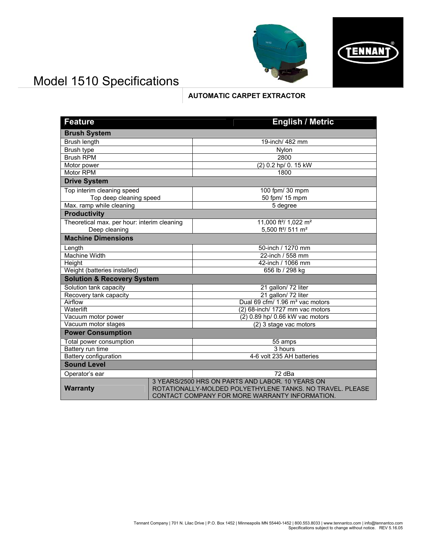

# <span id="page-1-0"></span>Model 1510 Specifications

### **AUTOMATIC CARPET EXTRACTOR**

| <b>Feature</b>                              |  | <b>English / Metric</b>                                                                                                                                         |
|---------------------------------------------|--|-----------------------------------------------------------------------------------------------------------------------------------------------------------------|
| <b>Brush System</b>                         |  |                                                                                                                                                                 |
| <b>Brush length</b>                         |  | 19-inch/ 482 mm                                                                                                                                                 |
| Brush type                                  |  | Nylon                                                                                                                                                           |
| <b>Brush RPM</b>                            |  | 2800                                                                                                                                                            |
| Motor power                                 |  | (2) 0.2 hp/ 0. 15 kW                                                                                                                                            |
| <b>Motor RPM</b>                            |  | 1800                                                                                                                                                            |
| <b>Drive System</b>                         |  |                                                                                                                                                                 |
| Top interim cleaning speed                  |  | 100 fpm/ 30 mpm                                                                                                                                                 |
| Top deep cleaning speed                     |  | 50 fpm/ 15 mpm                                                                                                                                                  |
| Max. ramp while cleaning                    |  | 5 degree                                                                                                                                                        |
| <b>Productivity</b>                         |  |                                                                                                                                                                 |
| Theoretical max. per hour: interim cleaning |  | 11,000 ft <sup>2</sup> / 1,022 m <sup>2</sup>                                                                                                                   |
| Deep cleaning                               |  | 5,500 ft <sup>2</sup> / 511 m <sup>2</sup>                                                                                                                      |
| <b>Machine Dimensions</b>                   |  |                                                                                                                                                                 |
| Length                                      |  | 50-inch / 1270 mm                                                                                                                                               |
| <b>Machine Width</b>                        |  | 22-inch / 558 mm                                                                                                                                                |
| <b>Height</b>                               |  | 42-inch / 1066 mm                                                                                                                                               |
| Weight (batteries installed)                |  | 656 lb / 298 kg                                                                                                                                                 |
| <b>Solution &amp; Recovery System</b>       |  |                                                                                                                                                                 |
| Solution tank capacity                      |  | 21 gallon/72 liter                                                                                                                                              |
| Recovery tank capacity                      |  | 21 gallon/72 liter                                                                                                                                              |
| Airflow                                     |  | Dual 69 cfm/ 1.96 m <sup>3</sup> vac motors                                                                                                                     |
| Waterlift                                   |  | (2) 68-inch/ 1727 mm vac motors                                                                                                                                 |
| Vacuum motor power                          |  | (2) 0.89 hp/ 0.66 kW vac motors                                                                                                                                 |
| Vacuum motor stages                         |  | (2) 3 stage vac motors                                                                                                                                          |
| <b>Power Consumption</b>                    |  |                                                                                                                                                                 |
| Total power consumption                     |  | 55 amps                                                                                                                                                         |
| Battery run time                            |  | 3 hours                                                                                                                                                         |
| <b>Battery configuration</b>                |  | 4-6 volt 235 AH batteries                                                                                                                                       |
| <b>Sound Level</b>                          |  |                                                                                                                                                                 |
| Operator's ear                              |  | 72 dBa                                                                                                                                                          |
| <b>Warranty</b>                             |  | 3 YEARS/2500 HRS ON PARTS AND LABOR. 10 YEARS ON<br>ROTATIONALLY-MOLDED POLYETHYLENE TANKS. NO TRAVEL. PLEASE<br>CONTACT COMPANY FOR MORE WARRANTY INFORMATION. |